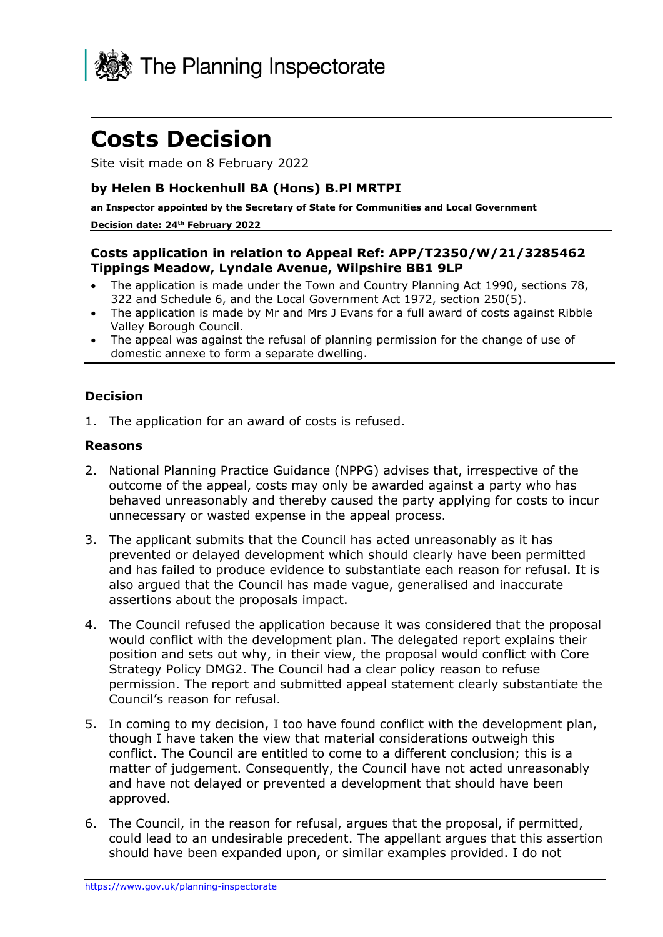

# **Costs Decision**

Site visit made on 8 February 2022

### **by Helen B Hockenhull BA (Hons) B.Pl MRTPI**

**an Inspector appointed by the Secretary of State for Communities and Local Government**

#### **Decision date: 24th February 2022**

#### **Costs application in relation to Appeal Ref: APP/T2350/W/21/3285462 Tippings Meadow, Lyndale Avenue, Wilpshire BB1 9LP**

- The application is made under the Town and Country Planning Act 1990, sections 78, 322 and Schedule 6, and the Local Government Act 1972, section 250(5).
- The application is made by Mr and Mrs J Evans for a full award of costs against Ribble Valley Borough Council.
- The appeal was against the refusal of planning permission for the change of use of domestic annexe to form a separate dwelling.

#### **Decision**

1. The application for an award of costs is refused.

#### **Reasons**

- 2. National Planning Practice Guidance (NPPG) advises that, irrespective of the outcome of the appeal, costs may only be awarded against a party who has behaved unreasonably and thereby caused the party applying for costs to incur unnecessary or wasted expense in the appeal process.
- 3. The applicant submits that the Council has acted unreasonably as it has prevented or delayed development which should clearly have been permitted and has failed to produce evidence to substantiate each reason for refusal. It is also argued that the Council has made vague, generalised and inaccurate assertions about the proposals impact.
- 4. The Council refused the application because it was considered that the proposal would conflict with the development plan. The delegated report explains their position and sets out why, in their view, the proposal would conflict with Core Strategy Policy DMG2. The Council had a clear policy reason to refuse permission. The report and submitted appeal statement clearly substantiate the Council's reason for refusal.
- 5. In coming to my decision, I too have found conflict with the development plan, though I have taken the view that material considerations outweigh this conflict. The Council are entitled to come to a different conclusion; this is a matter of judgement. Consequently, the Council have not acted unreasonably and have not delayed or prevented a development that should have been approved.
- 6. The Council, in the reason for refusal, argues that the proposal, if permitted, could lead to an undesirable precedent. The appellant argues that this assertion should have been expanded upon, or similar examples provided. I do not